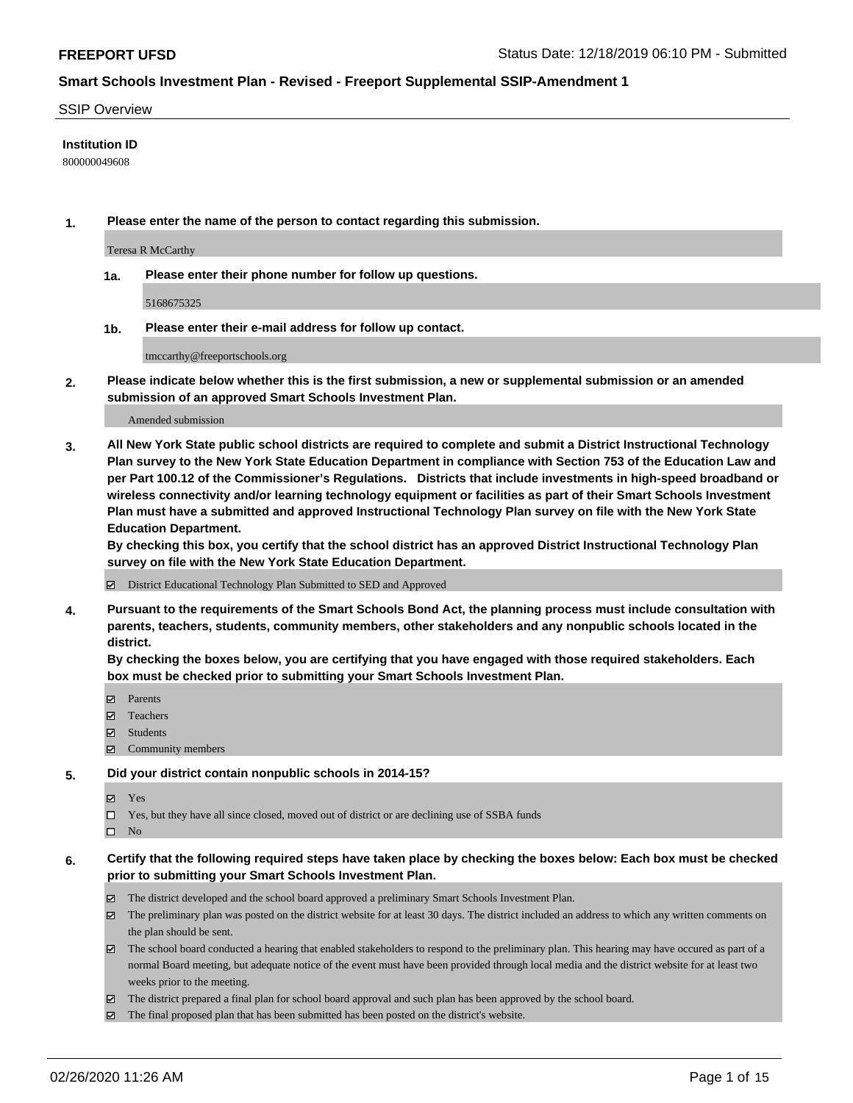#### SSIP Overview

### **Institution ID**

800000049608

**1. Please enter the name of the person to contact regarding this submission.**

Teresa R McCarthy

**1a. Please enter their phone number for follow up questions.**

5168675325

**1b. Please enter their e-mail address for follow up contact.**

tmccarthy@freeportschools.org

**2. Please indicate below whether this is the first submission, a new or supplemental submission or an amended submission of an approved Smart Schools Investment Plan.**

#### Amended submission

**3. All New York State public school districts are required to complete and submit a District Instructional Technology Plan survey to the New York State Education Department in compliance with Section 753 of the Education Law and per Part 100.12 of the Commissioner's Regulations. Districts that include investments in high-speed broadband or wireless connectivity and/or learning technology equipment or facilities as part of their Smart Schools Investment Plan must have a submitted and approved Instructional Technology Plan survey on file with the New York State Education Department.** 

**By checking this box, you certify that the school district has an approved District Instructional Technology Plan survey on file with the New York State Education Department.**

District Educational Technology Plan Submitted to SED and Approved

**4. Pursuant to the requirements of the Smart Schools Bond Act, the planning process must include consultation with parents, teachers, students, community members, other stakeholders and any nonpublic schools located in the district.** 

**By checking the boxes below, you are certifying that you have engaged with those required stakeholders. Each box must be checked prior to submitting your Smart Schools Investment Plan.**

- **マ** Parents
- Teachers
- Students
- $\Xi$  Community members

#### **5. Did your district contain nonpublic schools in 2014-15?**

**冈** Yes

Yes, but they have all since closed, moved out of district or are declining use of SSBA funds

 $\square$  No

- **6. Certify that the following required steps have taken place by checking the boxes below: Each box must be checked prior to submitting your Smart Schools Investment Plan.**
	- The district developed and the school board approved a preliminary Smart Schools Investment Plan.
	- $\boxtimes$  The preliminary plan was posted on the district website for at least 30 days. The district included an address to which any written comments on the plan should be sent.
	- $\boxtimes$  The school board conducted a hearing that enabled stakeholders to respond to the preliminary plan. This hearing may have occured as part of a normal Board meeting, but adequate notice of the event must have been provided through local media and the district website for at least two weeks prior to the meeting.
	- The district prepared a final plan for school board approval and such plan has been approved by the school board.
	- $\boxtimes$  The final proposed plan that has been submitted has been posted on the district's website.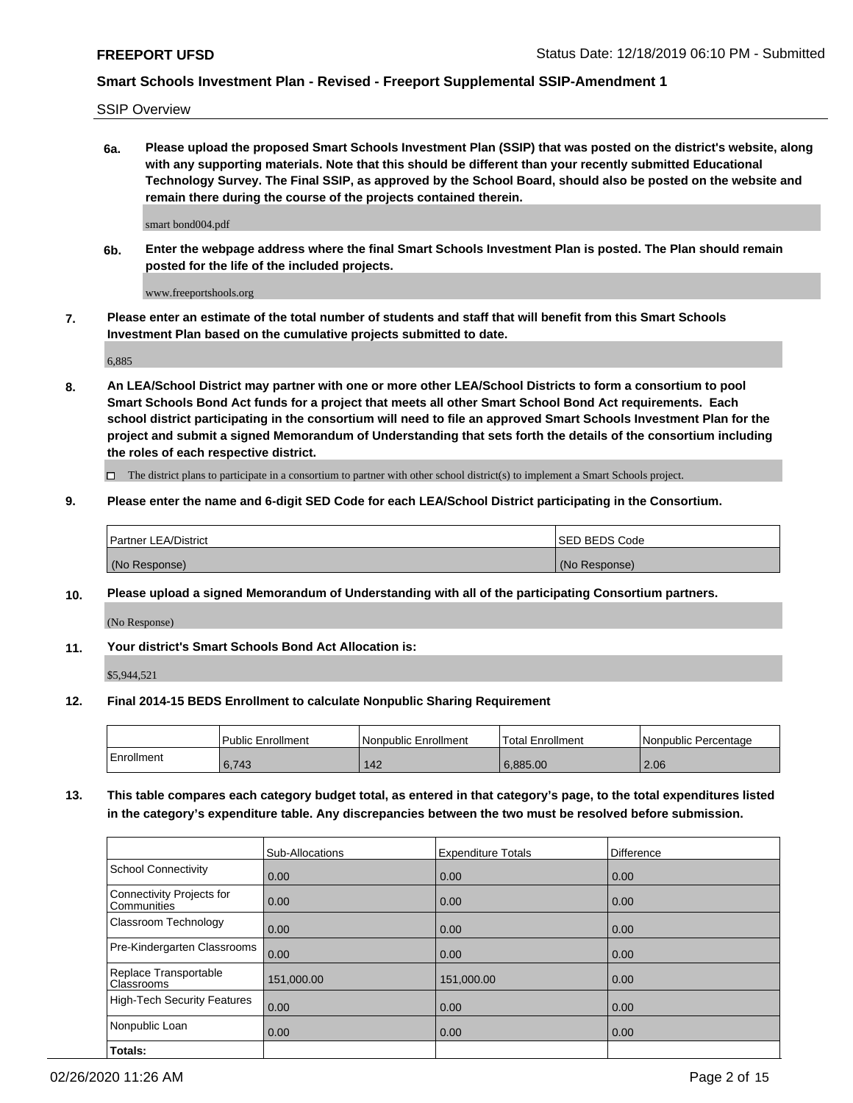SSIP Overview

**6a. Please upload the proposed Smart Schools Investment Plan (SSIP) that was posted on the district's website, along with any supporting materials. Note that this should be different than your recently submitted Educational Technology Survey. The Final SSIP, as approved by the School Board, should also be posted on the website and remain there during the course of the projects contained therein.**

smart bond004.pdf

**6b. Enter the webpage address where the final Smart Schools Investment Plan is posted. The Plan should remain posted for the life of the included projects.**

www.freeportshools.org

**7. Please enter an estimate of the total number of students and staff that will benefit from this Smart Schools Investment Plan based on the cumulative projects submitted to date.**

6,885

**8. An LEA/School District may partner with one or more other LEA/School Districts to form a consortium to pool Smart Schools Bond Act funds for a project that meets all other Smart School Bond Act requirements. Each school district participating in the consortium will need to file an approved Smart Schools Investment Plan for the project and submit a signed Memorandum of Understanding that sets forth the details of the consortium including the roles of each respective district.**

 $\Box$  The district plans to participate in a consortium to partner with other school district(s) to implement a Smart Schools project.

### **9. Please enter the name and 6-digit SED Code for each LEA/School District participating in the Consortium.**

| Partner LEA/District | <b>ISED BEDS Code</b> |
|----------------------|-----------------------|
| (No Response)        | (No Response)         |

### **10. Please upload a signed Memorandum of Understanding with all of the participating Consortium partners.**

(No Response)

**11. Your district's Smart Schools Bond Act Allocation is:**

\$5,944,521

### **12. Final 2014-15 BEDS Enrollment to calculate Nonpublic Sharing Requirement**

|            | Public Enrollment | Nonpublic Enrollment | Total Enrollment | l Nonpublic Percentage |
|------------|-------------------|----------------------|------------------|------------------------|
| Enrollment | 6,743             | 142                  | 6.885.00         | 2.06                   |

**13. This table compares each category budget total, as entered in that category's page, to the total expenditures listed in the category's expenditure table. Any discrepancies between the two must be resolved before submission.**

|                                                 | Sub-Allocations | <b>Expenditure Totals</b> | Difference |
|-------------------------------------------------|-----------------|---------------------------|------------|
| <b>School Connectivity</b>                      | 0.00            | 0.00                      | 0.00       |
| <b>Connectivity Projects for</b><br>Communities | 0.00            | 0.00                      | 0.00       |
| Classroom Technology                            | 0.00            | 0.00                      | 0.00       |
| Pre-Kindergarten Classrooms                     | 0.00            | 0.00                      | 0.00       |
| Replace Transportable<br>Classrooms             | 151,000.00      | 151,000.00                | 0.00       |
| <b>High-Tech Security Features</b>              | 0.00            | 0.00                      | 0.00       |
| Nonpublic Loan                                  | 0.00            | 0.00                      | 0.00       |
| Totals:                                         |                 |                           |            |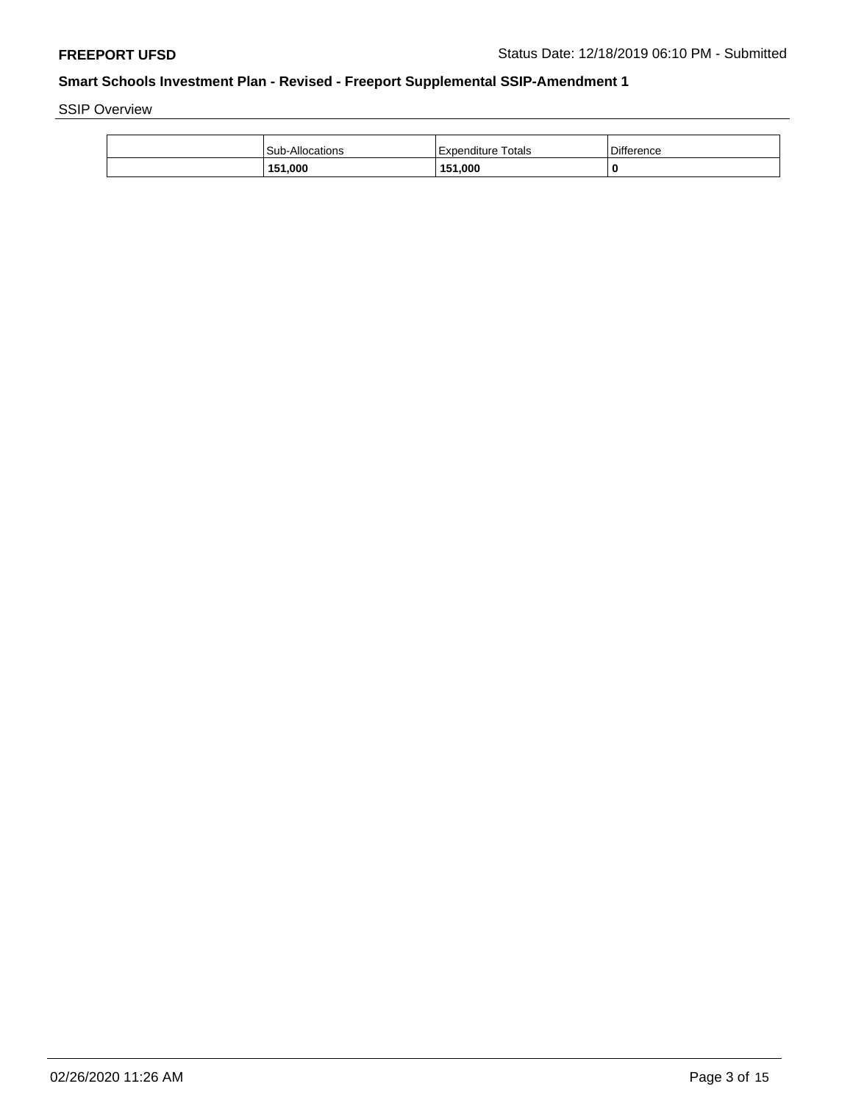SSIP Overview

| <b>Sub-Allocations</b> | Expenditure Totals | <b>Difference</b> |
|------------------------|--------------------|-------------------|
| 151,000                | 151,000            | 0                 |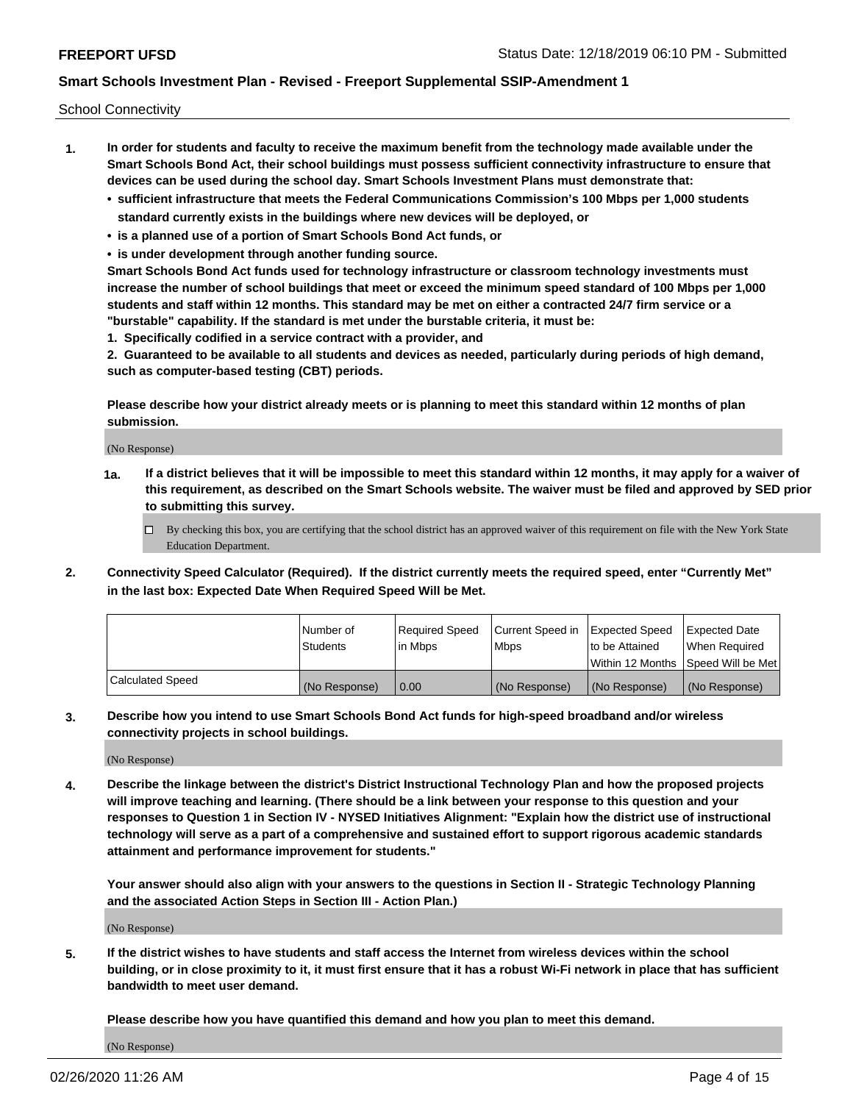School Connectivity

- **1. In order for students and faculty to receive the maximum benefit from the technology made available under the Smart Schools Bond Act, their school buildings must possess sufficient connectivity infrastructure to ensure that devices can be used during the school day. Smart Schools Investment Plans must demonstrate that:**
	- **• sufficient infrastructure that meets the Federal Communications Commission's 100 Mbps per 1,000 students standard currently exists in the buildings where new devices will be deployed, or**
	- **• is a planned use of a portion of Smart Schools Bond Act funds, or**
	- **• is under development through another funding source.**

**Smart Schools Bond Act funds used for technology infrastructure or classroom technology investments must increase the number of school buildings that meet or exceed the minimum speed standard of 100 Mbps per 1,000 students and staff within 12 months. This standard may be met on either a contracted 24/7 firm service or a "burstable" capability. If the standard is met under the burstable criteria, it must be:**

**1. Specifically codified in a service contract with a provider, and**

**2. Guaranteed to be available to all students and devices as needed, particularly during periods of high demand, such as computer-based testing (CBT) periods.**

**Please describe how your district already meets or is planning to meet this standard within 12 months of plan submission.**

(No Response)

**1a. If a district believes that it will be impossible to meet this standard within 12 months, it may apply for a waiver of this requirement, as described on the Smart Schools website. The waiver must be filed and approved by SED prior to submitting this survey.**

 $\Box$  By checking this box, you are certifying that the school district has an approved waiver of this requirement on file with the New York State Education Department.

**2. Connectivity Speed Calculator (Required). If the district currently meets the required speed, enter "Currently Met" in the last box: Expected Date When Required Speed Will be Met.**

|                  | l Number of     | Required Speed | Current Speed in | Expected Speed | Expected Date                        |
|------------------|-----------------|----------------|------------------|----------------|--------------------------------------|
|                  | <b>Students</b> | In Mbps        | <b>Mbps</b>      | to be Attained | When Required                        |
|                  |                 |                |                  |                | Within 12 Months 1Speed Will be Met1 |
| Calculated Speed | (No Response)   | 0.00           | (No Response)    | (No Response)  | l (No Response)                      |

**3. Describe how you intend to use Smart Schools Bond Act funds for high-speed broadband and/or wireless connectivity projects in school buildings.**

(No Response)

**4. Describe the linkage between the district's District Instructional Technology Plan and how the proposed projects will improve teaching and learning. (There should be a link between your response to this question and your responses to Question 1 in Section IV - NYSED Initiatives Alignment: "Explain how the district use of instructional technology will serve as a part of a comprehensive and sustained effort to support rigorous academic standards attainment and performance improvement for students."** 

**Your answer should also align with your answers to the questions in Section II - Strategic Technology Planning and the associated Action Steps in Section III - Action Plan.)**

(No Response)

**5. If the district wishes to have students and staff access the Internet from wireless devices within the school building, or in close proximity to it, it must first ensure that it has a robust Wi-Fi network in place that has sufficient bandwidth to meet user demand.**

**Please describe how you have quantified this demand and how you plan to meet this demand.**

(No Response)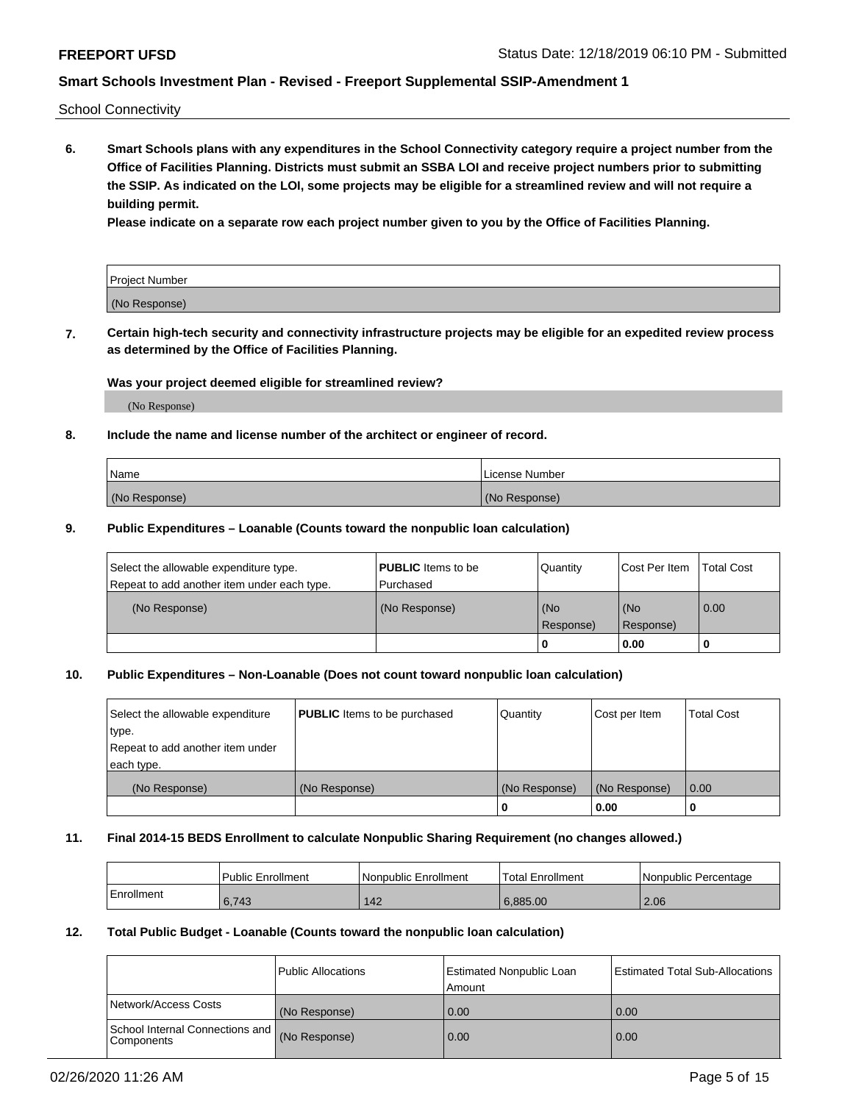School Connectivity

**6. Smart Schools plans with any expenditures in the School Connectivity category require a project number from the Office of Facilities Planning. Districts must submit an SSBA LOI and receive project numbers prior to submitting the SSIP. As indicated on the LOI, some projects may be eligible for a streamlined review and will not require a building permit.**

**Please indicate on a separate row each project number given to you by the Office of Facilities Planning.**

| Project Number |  |
|----------------|--|
| (No Response)  |  |

**7. Certain high-tech security and connectivity infrastructure projects may be eligible for an expedited review process as determined by the Office of Facilities Planning.**

### **Was your project deemed eligible for streamlined review?**

(No Response)

### **8. Include the name and license number of the architect or engineer of record.**

| Name          | License Number |
|---------------|----------------|
| (No Response) | (No Response)  |

### **9. Public Expenditures – Loanable (Counts toward the nonpublic loan calculation)**

| Select the allowable expenditure type.<br>Repeat to add another item under each type. | <b>PUBLIC</b> Items to be<br>l Purchased | Quantity           | Cost Per Item    | <b>Total Cost</b> |
|---------------------------------------------------------------------------------------|------------------------------------------|--------------------|------------------|-------------------|
| (No Response)                                                                         | (No Response)                            | l (No<br>Response) | (No<br>Response) | $\overline{0.00}$ |
|                                                                                       |                                          | O                  | 0.00             |                   |

### **10. Public Expenditures – Non-Loanable (Does not count toward nonpublic loan calculation)**

| Select the allowable expenditure<br>type.<br>Repeat to add another item under<br>each type. | <b>PUBLIC</b> Items to be purchased | Quantity      | Cost per Item | <b>Total Cost</b> |
|---------------------------------------------------------------------------------------------|-------------------------------------|---------------|---------------|-------------------|
| (No Response)                                                                               | (No Response)                       | (No Response) | (No Response) | 0.00              |
|                                                                                             |                                     |               | 0.00          |                   |

#### **11. Final 2014-15 BEDS Enrollment to calculate Nonpublic Sharing Requirement (no changes allowed.)**

|            | Public Enrollment | Nonpublic Enrollment | 'Total Enrollment | l Nonpublic Percentage |
|------------|-------------------|----------------------|-------------------|------------------------|
| Enrollment | 6,743             | 142                  | 6.885.00          | 2.06                   |

### **12. Total Public Budget - Loanable (Counts toward the nonpublic loan calculation)**

|                                                      | Public Allocations | <b>Estimated Nonpublic Loan</b><br>Amount | Estimated Total Sub-Allocations |
|------------------------------------------------------|--------------------|-------------------------------------------|---------------------------------|
| Network/Access Costs                                 | (No Response)      | 0.00                                      | 0.00                            |
| School Internal Connections and<br><b>Components</b> | (No Response)      | 0.00                                      | 0.00                            |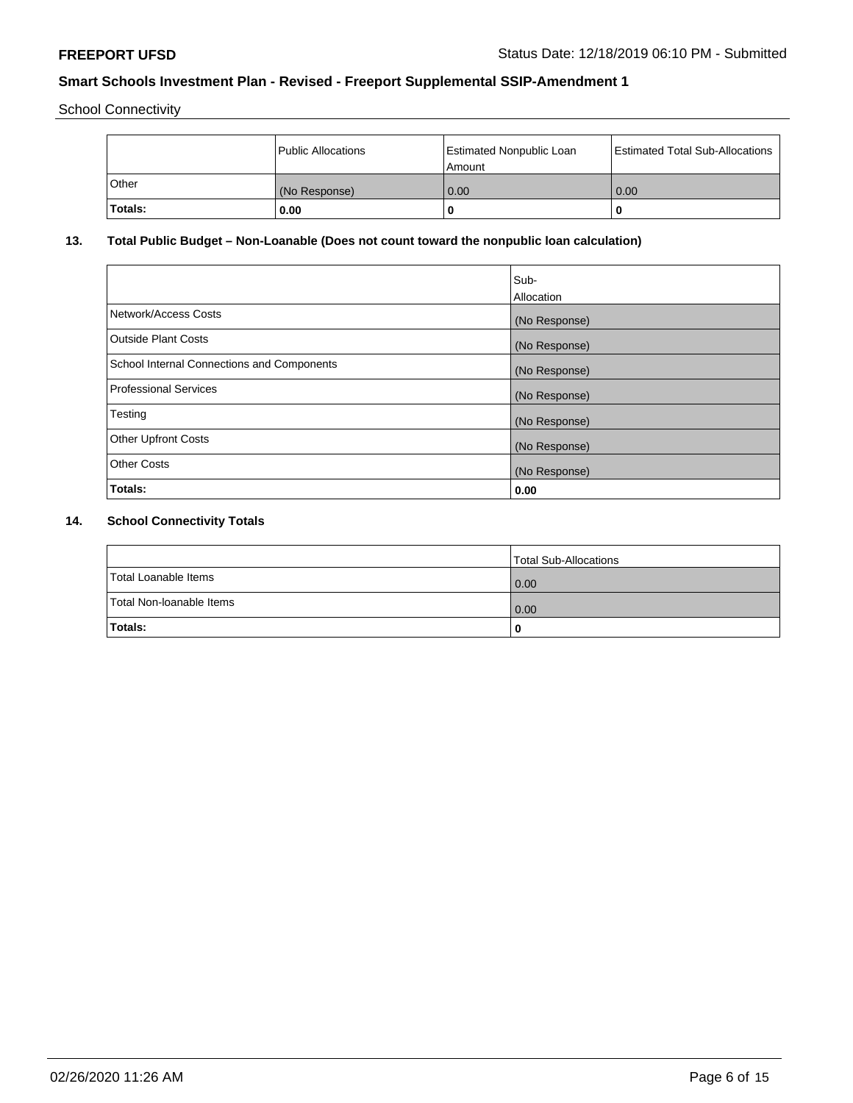School Connectivity

|              | Public Allocations | <b>Estimated Nonpublic Loan</b><br>Amount | <b>Estimated Total Sub-Allocations</b> |
|--------------|--------------------|-------------------------------------------|----------------------------------------|
| <b>Other</b> | (No Response)      | 0.00                                      | 0.00                                   |
| Totals:      | 0.00               |                                           | 0                                      |

# **13. Total Public Budget – Non-Loanable (Does not count toward the nonpublic loan calculation)**

|                                                   | Sub-<br>Allocation |
|---------------------------------------------------|--------------------|
| Network/Access Costs                              | (No Response)      |
| <b>Outside Plant Costs</b>                        | (No Response)      |
| <b>School Internal Connections and Components</b> | (No Response)      |
| Professional Services                             | (No Response)      |
| Testing                                           | (No Response)      |
| <b>Other Upfront Costs</b>                        | (No Response)      |
| <b>Other Costs</b>                                | (No Response)      |
| <b>Totals:</b>                                    | 0.00               |

# **14. School Connectivity Totals**

|                          | Total Sub-Allocations |
|--------------------------|-----------------------|
| Total Loanable Items     | 0.00                  |
| Total Non-Ioanable Items | 0.00                  |
| Totals:                  | 0                     |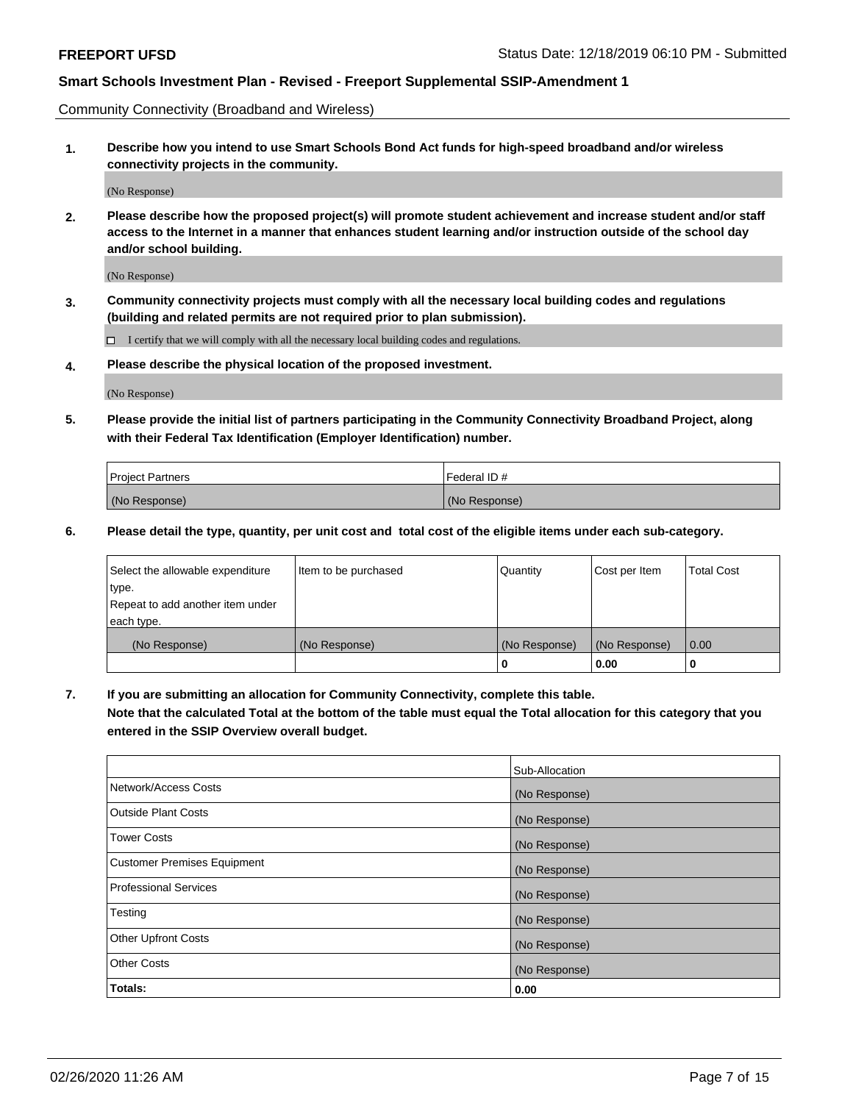Community Connectivity (Broadband and Wireless)

**1. Describe how you intend to use Smart Schools Bond Act funds for high-speed broadband and/or wireless connectivity projects in the community.**

(No Response)

**2. Please describe how the proposed project(s) will promote student achievement and increase student and/or staff access to the Internet in a manner that enhances student learning and/or instruction outside of the school day and/or school building.**

(No Response)

**3. Community connectivity projects must comply with all the necessary local building codes and regulations (building and related permits are not required prior to plan submission).**

 $\Box$  I certify that we will comply with all the necessary local building codes and regulations.

**4. Please describe the physical location of the proposed investment.**

(No Response)

**5. Please provide the initial list of partners participating in the Community Connectivity Broadband Project, along with their Federal Tax Identification (Employer Identification) number.**

| <b>Project Partners</b> | l Federal ID # |
|-------------------------|----------------|
| (No Response)           | (No Response)  |

**6. Please detail the type, quantity, per unit cost and total cost of the eligible items under each sub-category.**

| Select the allowable expenditure | Item to be purchased | Quantity      | Cost per Item | <b>Total Cost</b> |
|----------------------------------|----------------------|---------------|---------------|-------------------|
| type.                            |                      |               |               |                   |
| Repeat to add another item under |                      |               |               |                   |
| each type.                       |                      |               |               |                   |
| (No Response)                    | (No Response)        | (No Response) | (No Response) | 0.00              |
|                                  |                      | U             | 0.00          | -0                |

**7. If you are submitting an allocation for Community Connectivity, complete this table.**

**Note that the calculated Total at the bottom of the table must equal the Total allocation for this category that you entered in the SSIP Overview overall budget.**

|                                    | Sub-Allocation |
|------------------------------------|----------------|
| Network/Access Costs               | (No Response)  |
| Outside Plant Costs                | (No Response)  |
| <b>Tower Costs</b>                 | (No Response)  |
| <b>Customer Premises Equipment</b> | (No Response)  |
| <b>Professional Services</b>       | (No Response)  |
| Testing                            | (No Response)  |
| <b>Other Upfront Costs</b>         | (No Response)  |
| <b>Other Costs</b>                 | (No Response)  |
| Totals:                            | 0.00           |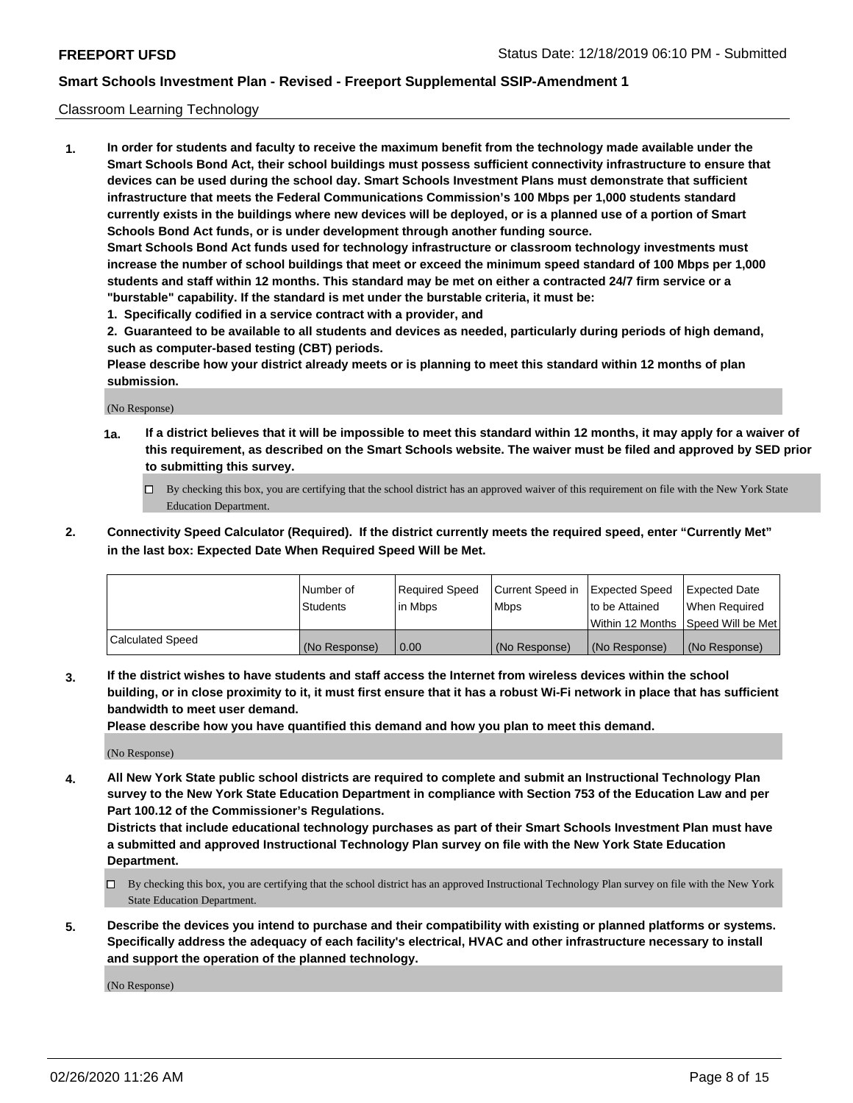#### Classroom Learning Technology

**1. In order for students and faculty to receive the maximum benefit from the technology made available under the Smart Schools Bond Act, their school buildings must possess sufficient connectivity infrastructure to ensure that devices can be used during the school day. Smart Schools Investment Plans must demonstrate that sufficient infrastructure that meets the Federal Communications Commission's 100 Mbps per 1,000 students standard currently exists in the buildings where new devices will be deployed, or is a planned use of a portion of Smart Schools Bond Act funds, or is under development through another funding source. Smart Schools Bond Act funds used for technology infrastructure or classroom technology investments must increase the number of school buildings that meet or exceed the minimum speed standard of 100 Mbps per 1,000 students and staff within 12 months. This standard may be met on either a contracted 24/7 firm service or a "burstable" capability. If the standard is met under the burstable criteria, it must be:**

**1. Specifically codified in a service contract with a provider, and**

**2. Guaranteed to be available to all students and devices as needed, particularly during periods of high demand, such as computer-based testing (CBT) periods.**

**Please describe how your district already meets or is planning to meet this standard within 12 months of plan submission.**

(No Response)

- **1a. If a district believes that it will be impossible to meet this standard within 12 months, it may apply for a waiver of this requirement, as described on the Smart Schools website. The waiver must be filed and approved by SED prior to submitting this survey.**
	- By checking this box, you are certifying that the school district has an approved waiver of this requirement on file with the New York State Education Department.
- **2. Connectivity Speed Calculator (Required). If the district currently meets the required speed, enter "Currently Met" in the last box: Expected Date When Required Speed Will be Met.**

|                  | l Number of     | Required Speed | Current Speed in | <b>Expected Speed</b> | <b>Expected Date</b>                |
|------------------|-----------------|----------------|------------------|-----------------------|-------------------------------------|
|                  | <b>Students</b> | l in Mbps      | l Mbps           | to be Attained        | When Required                       |
|                  |                 |                |                  |                       | Within 12 Months  Speed Will be Met |
| Calculated Speed | (No Response)   | 0.00           | (No Response)    | l (No Response)       | (No Response)                       |

**3. If the district wishes to have students and staff access the Internet from wireless devices within the school building, or in close proximity to it, it must first ensure that it has a robust Wi-Fi network in place that has sufficient bandwidth to meet user demand.**

**Please describe how you have quantified this demand and how you plan to meet this demand.**

(No Response)

**4. All New York State public school districts are required to complete and submit an Instructional Technology Plan survey to the New York State Education Department in compliance with Section 753 of the Education Law and per Part 100.12 of the Commissioner's Regulations.**

**Districts that include educational technology purchases as part of their Smart Schools Investment Plan must have a submitted and approved Instructional Technology Plan survey on file with the New York State Education Department.**

- By checking this box, you are certifying that the school district has an approved Instructional Technology Plan survey on file with the New York State Education Department.
- **5. Describe the devices you intend to purchase and their compatibility with existing or planned platforms or systems. Specifically address the adequacy of each facility's electrical, HVAC and other infrastructure necessary to install and support the operation of the planned technology.**

(No Response)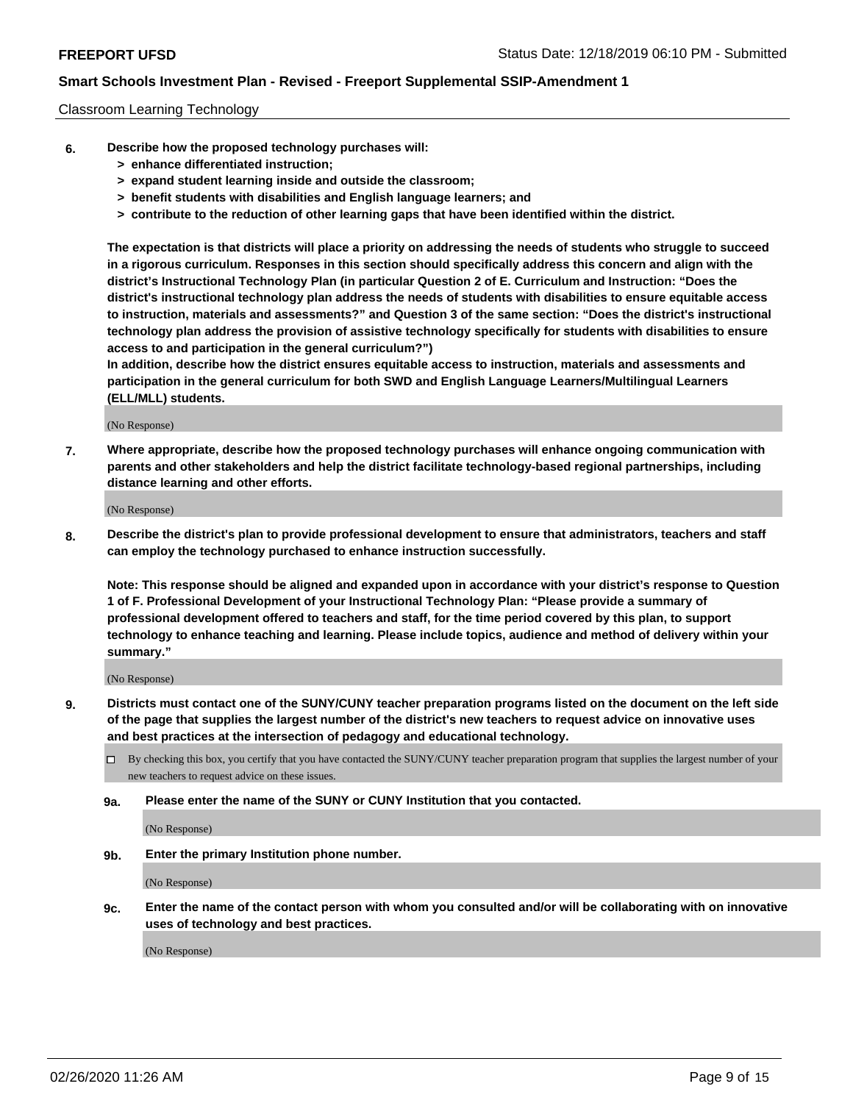#### Classroom Learning Technology

- **6. Describe how the proposed technology purchases will:**
	- **> enhance differentiated instruction;**
	- **> expand student learning inside and outside the classroom;**
	- **> benefit students with disabilities and English language learners; and**
	- **> contribute to the reduction of other learning gaps that have been identified within the district.**

**The expectation is that districts will place a priority on addressing the needs of students who struggle to succeed in a rigorous curriculum. Responses in this section should specifically address this concern and align with the district's Instructional Technology Plan (in particular Question 2 of E. Curriculum and Instruction: "Does the district's instructional technology plan address the needs of students with disabilities to ensure equitable access to instruction, materials and assessments?" and Question 3 of the same section: "Does the district's instructional technology plan address the provision of assistive technology specifically for students with disabilities to ensure access to and participation in the general curriculum?")**

**In addition, describe how the district ensures equitable access to instruction, materials and assessments and participation in the general curriculum for both SWD and English Language Learners/Multilingual Learners (ELL/MLL) students.**

(No Response)

**7. Where appropriate, describe how the proposed technology purchases will enhance ongoing communication with parents and other stakeholders and help the district facilitate technology-based regional partnerships, including distance learning and other efforts.**

(No Response)

**8. Describe the district's plan to provide professional development to ensure that administrators, teachers and staff can employ the technology purchased to enhance instruction successfully.**

**Note: This response should be aligned and expanded upon in accordance with your district's response to Question 1 of F. Professional Development of your Instructional Technology Plan: "Please provide a summary of professional development offered to teachers and staff, for the time period covered by this plan, to support technology to enhance teaching and learning. Please include topics, audience and method of delivery within your summary."**

(No Response)

- **9. Districts must contact one of the SUNY/CUNY teacher preparation programs listed on the document on the left side of the page that supplies the largest number of the district's new teachers to request advice on innovative uses and best practices at the intersection of pedagogy and educational technology.**
	- By checking this box, you certify that you have contacted the SUNY/CUNY teacher preparation program that supplies the largest number of your new teachers to request advice on these issues.
	- **9a. Please enter the name of the SUNY or CUNY Institution that you contacted.**

(No Response)

**9b. Enter the primary Institution phone number.**

(No Response)

**9c. Enter the name of the contact person with whom you consulted and/or will be collaborating with on innovative uses of technology and best practices.**

(No Response)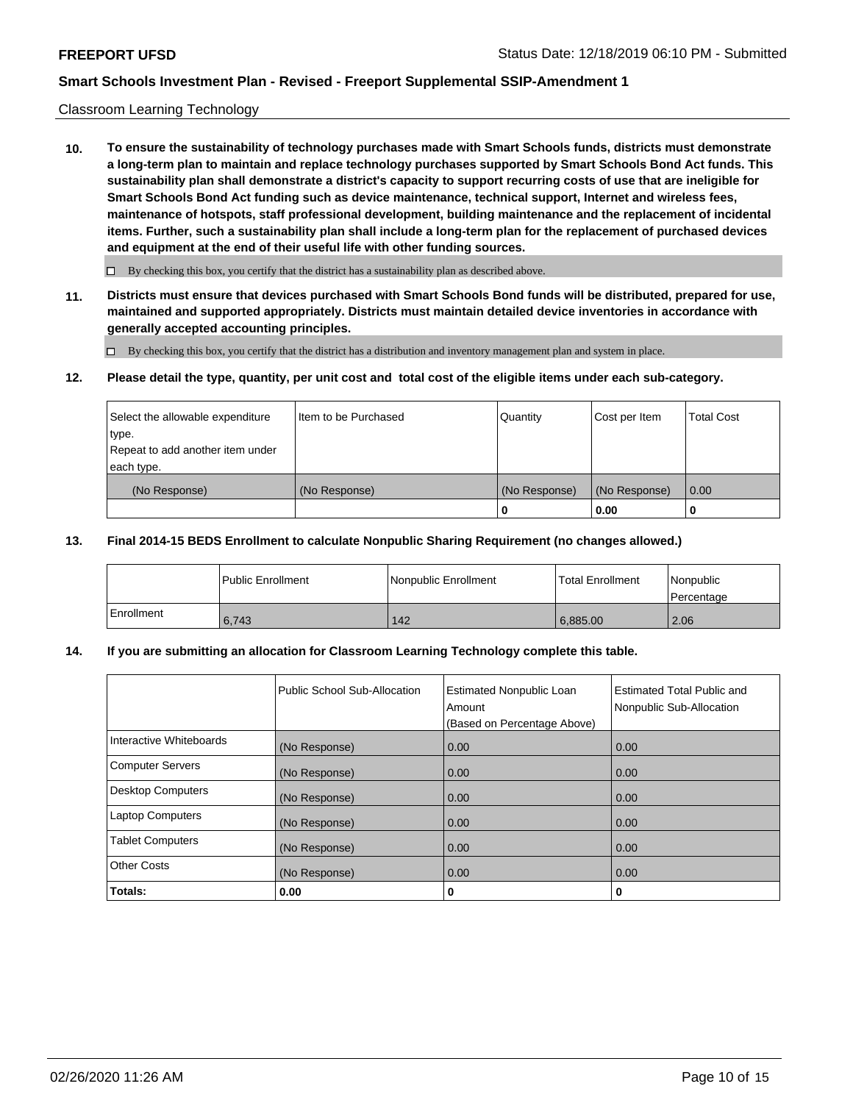### Classroom Learning Technology

**10. To ensure the sustainability of technology purchases made with Smart Schools funds, districts must demonstrate a long-term plan to maintain and replace technology purchases supported by Smart Schools Bond Act funds. This sustainability plan shall demonstrate a district's capacity to support recurring costs of use that are ineligible for Smart Schools Bond Act funding such as device maintenance, technical support, Internet and wireless fees, maintenance of hotspots, staff professional development, building maintenance and the replacement of incidental items. Further, such a sustainability plan shall include a long-term plan for the replacement of purchased devices and equipment at the end of their useful life with other funding sources.**

 $\Box$  By checking this box, you certify that the district has a sustainability plan as described above.

**11. Districts must ensure that devices purchased with Smart Schools Bond funds will be distributed, prepared for use, maintained and supported appropriately. Districts must maintain detailed device inventories in accordance with generally accepted accounting principles.**

By checking this box, you certify that the district has a distribution and inventory management plan and system in place.

#### **12. Please detail the type, quantity, per unit cost and total cost of the eligible items under each sub-category.**

| Select the allowable expenditure          | Item to be Purchased | Quantity      | Cost per Item | Total Cost |
|-------------------------------------------|----------------------|---------------|---------------|------------|
| type.<br>Repeat to add another item under |                      |               |               |            |
| each type.                                |                      |               |               |            |
| (No Response)                             | (No Response)        | (No Response) | (No Response) | 0.00       |
|                                           |                      |               | 0.00          |            |

#### **13. Final 2014-15 BEDS Enrollment to calculate Nonpublic Sharing Requirement (no changes allowed.)**

|              | l Public Enrollment | Nonpublic Enrollment | <b>Total Enrollment</b> | Nonpublic<br>l Percentage |
|--------------|---------------------|----------------------|-------------------------|---------------------------|
| l Enrollment | 6.743               | 142                  | 6.885.00                | 2.06                      |

### **14. If you are submitting an allocation for Classroom Learning Technology complete this table.**

|                         | Public School Sub-Allocation | <b>Estimated Nonpublic Loan</b><br>Amount<br>(Based on Percentage Above) | Estimated Total Public and<br>Nonpublic Sub-Allocation |
|-------------------------|------------------------------|--------------------------------------------------------------------------|--------------------------------------------------------|
| Interactive Whiteboards | (No Response)                | 0.00                                                                     | 0.00                                                   |
| Computer Servers        | (No Response)                | 0.00                                                                     | 0.00                                                   |
| Desktop Computers       | (No Response)                | 0.00                                                                     | 0.00                                                   |
| <b>Laptop Computers</b> | (No Response)                | 0.00                                                                     | 0.00                                                   |
| <b>Tablet Computers</b> | (No Response)                | 0.00                                                                     | 0.00                                                   |
| Other Costs             | (No Response)                | 0.00                                                                     | 0.00                                                   |
| Totals:                 | 0.00                         | 0                                                                        | 0                                                      |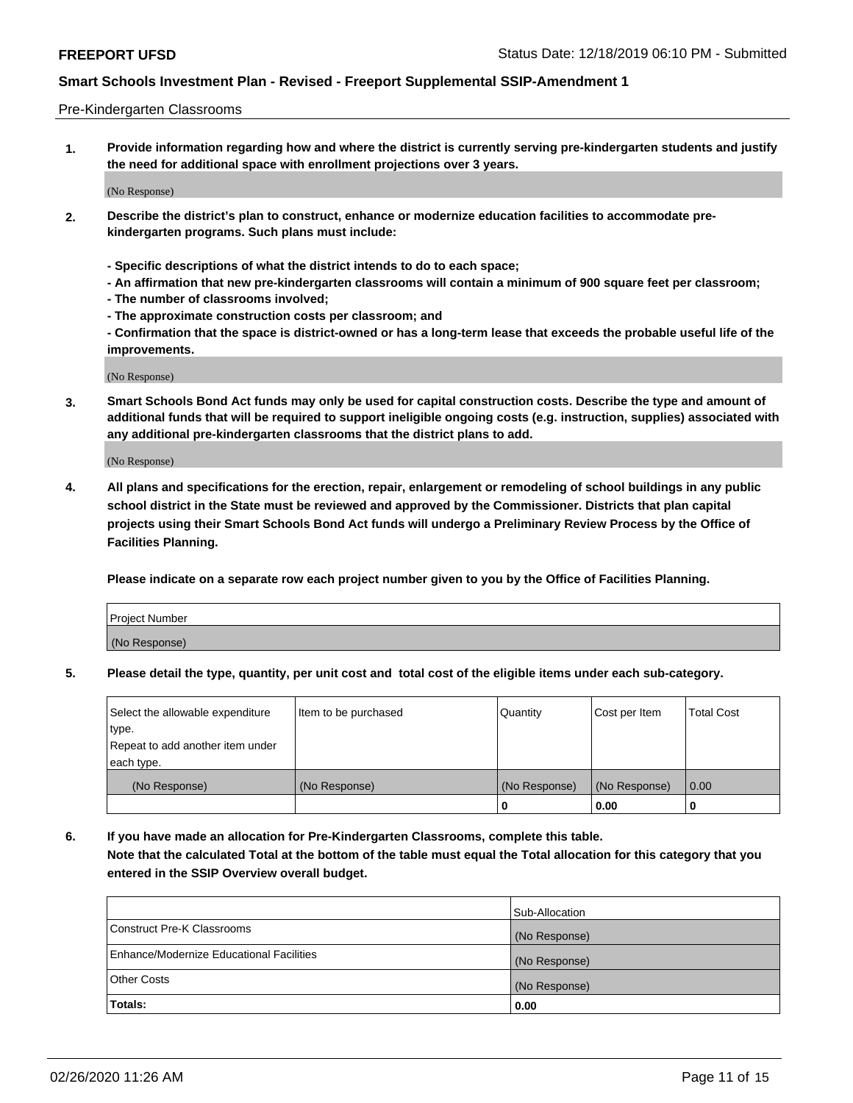#### Pre-Kindergarten Classrooms

**1. Provide information regarding how and where the district is currently serving pre-kindergarten students and justify the need for additional space with enrollment projections over 3 years.**

(No Response)

- **2. Describe the district's plan to construct, enhance or modernize education facilities to accommodate prekindergarten programs. Such plans must include:**
	- **Specific descriptions of what the district intends to do to each space;**
	- **An affirmation that new pre-kindergarten classrooms will contain a minimum of 900 square feet per classroom;**
	- **The number of classrooms involved;**
	- **The approximate construction costs per classroom; and**
	- **Confirmation that the space is district-owned or has a long-term lease that exceeds the probable useful life of the improvements.**

(No Response)

**3. Smart Schools Bond Act funds may only be used for capital construction costs. Describe the type and amount of additional funds that will be required to support ineligible ongoing costs (e.g. instruction, supplies) associated with any additional pre-kindergarten classrooms that the district plans to add.**

(No Response)

**4. All plans and specifications for the erection, repair, enlargement or remodeling of school buildings in any public school district in the State must be reviewed and approved by the Commissioner. Districts that plan capital projects using their Smart Schools Bond Act funds will undergo a Preliminary Review Process by the Office of Facilities Planning.**

**Please indicate on a separate row each project number given to you by the Office of Facilities Planning.**

| Project Number |  |
|----------------|--|
| (No Response)  |  |
|                |  |

**5. Please detail the type, quantity, per unit cost and total cost of the eligible items under each sub-category.**

| Select the allowable expenditure | Item to be purchased | Quantity      | Cost per Item | <b>Total Cost</b> |
|----------------------------------|----------------------|---------------|---------------|-------------------|
| type.                            |                      |               |               |                   |
| Repeat to add another item under |                      |               |               |                   |
| each type.                       |                      |               |               |                   |
| (No Response)                    | (No Response)        | (No Response) | (No Response) | 0.00              |
|                                  |                      | U             | 0.00          |                   |

**6. If you have made an allocation for Pre-Kindergarten Classrooms, complete this table. Note that the calculated Total at the bottom of the table must equal the Total allocation for this category that you entered in the SSIP Overview overall budget.**

|                                          | Sub-Allocation |
|------------------------------------------|----------------|
| Construct Pre-K Classrooms               | (No Response)  |
| Enhance/Modernize Educational Facilities | (No Response)  |
| <b>Other Costs</b>                       | (No Response)  |
| Totals:                                  | 0.00           |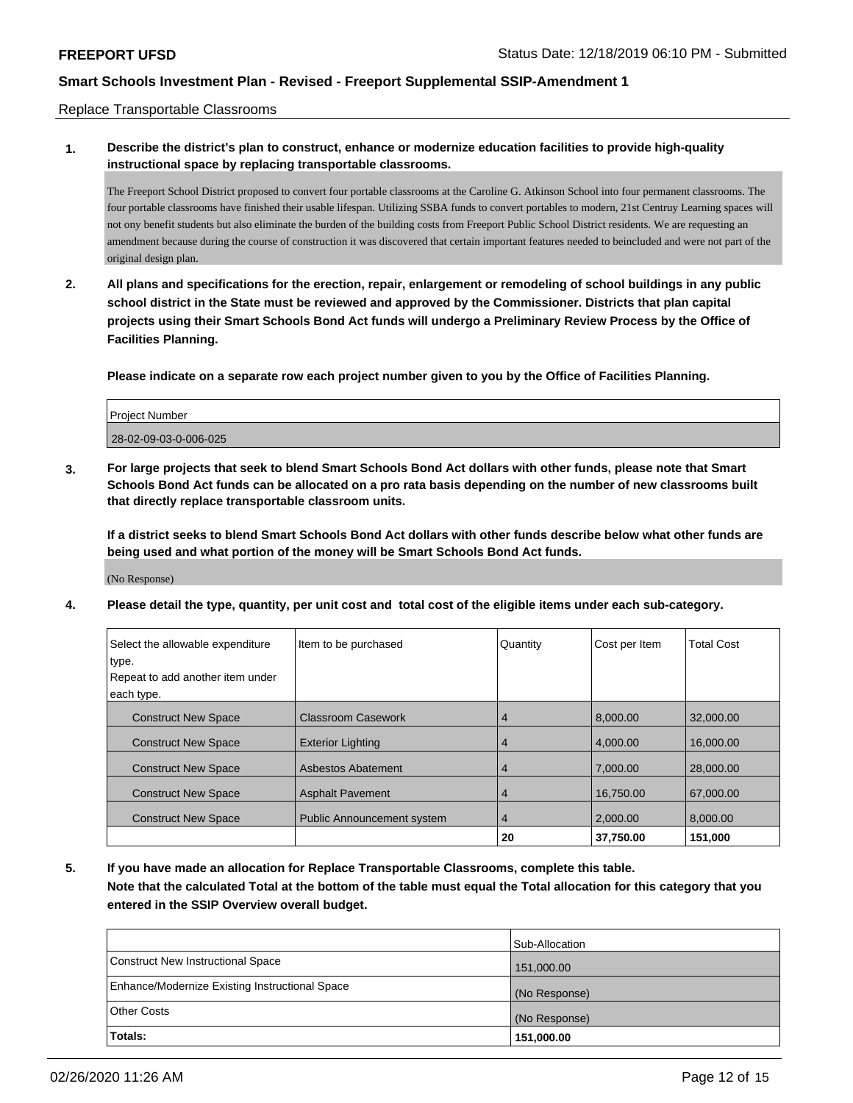Replace Transportable Classrooms

## **1. Describe the district's plan to construct, enhance or modernize education facilities to provide high-quality instructional space by replacing transportable classrooms.**

The Freeport School District proposed to convert four portable classrooms at the Caroline G. Atkinson School into four permanent classrooms. The four portable classrooms have finished their usable lifespan. Utilizing SSBA funds to convert portables to modern, 21st Centruy Learning spaces will not ony benefit students but also eliminate the burden of the building costs from Freeport Public School District residents. We are requesting an amendment because during the course of construction it was discovered that certain important features needed to beincluded and were not part of the original design plan.

**2. All plans and specifications for the erection, repair, enlargement or remodeling of school buildings in any public school district in the State must be reviewed and approved by the Commissioner. Districts that plan capital projects using their Smart Schools Bond Act funds will undergo a Preliminary Review Process by the Office of Facilities Planning.**

**Please indicate on a separate row each project number given to you by the Office of Facilities Planning.**

| <b>Project Number</b> |  |
|-----------------------|--|
| 28-02-09-03-0-006-025 |  |

**3. For large projects that seek to blend Smart Schools Bond Act dollars with other funds, please note that Smart Schools Bond Act funds can be allocated on a pro rata basis depending on the number of new classrooms built that directly replace transportable classroom units.**

**If a district seeks to blend Smart Schools Bond Act dollars with other funds describe below what other funds are being used and what portion of the money will be Smart Schools Bond Act funds.**

(No Response)

**4. Please detail the type, quantity, per unit cost and total cost of the eligible items under each sub-category.**

| Select the allowable expenditure<br>type. | Item to be purchased              | Quantity       | Cost per Item | <b>Total Cost</b> |
|-------------------------------------------|-----------------------------------|----------------|---------------|-------------------|
| Repeat to add another item under          |                                   |                |               |                   |
| each type.                                |                                   |                |               |                   |
| <b>Construct New Space</b>                | Classroom Casework                | 4              | 8,000.00      | 32,000.00         |
| <b>Construct New Space</b>                | <b>Exterior Lighting</b>          | 4              | 4.000.00      | 16,000,00         |
| <b>Construct New Space</b>                | <b>Asbestos Abatement</b>         | 4              | 7.000.00      | 28,000,00         |
| <b>Construct New Space</b>                | <b>Asphalt Pavement</b>           | 4              | 16,750.00     | 67,000.00         |
| <b>Construct New Space</b>                | <b>Public Announcement system</b> | $\overline{4}$ | 2.000.00      | 8.000.00          |
|                                           |                                   | 20             | 37,750.00     | 151.000           |

**5. If you have made an allocation for Replace Transportable Classrooms, complete this table. Note that the calculated Total at the bottom of the table must equal the Total allocation for this category that you entered in the SSIP Overview overall budget.**

|                                                | Sub-Allocation |
|------------------------------------------------|----------------|
| Construct New Instructional Space              | 151,000.00     |
| Enhance/Modernize Existing Instructional Space | (No Response)  |
| <b>Other Costs</b>                             | (No Response)  |
| Totals:                                        | 151,000.00     |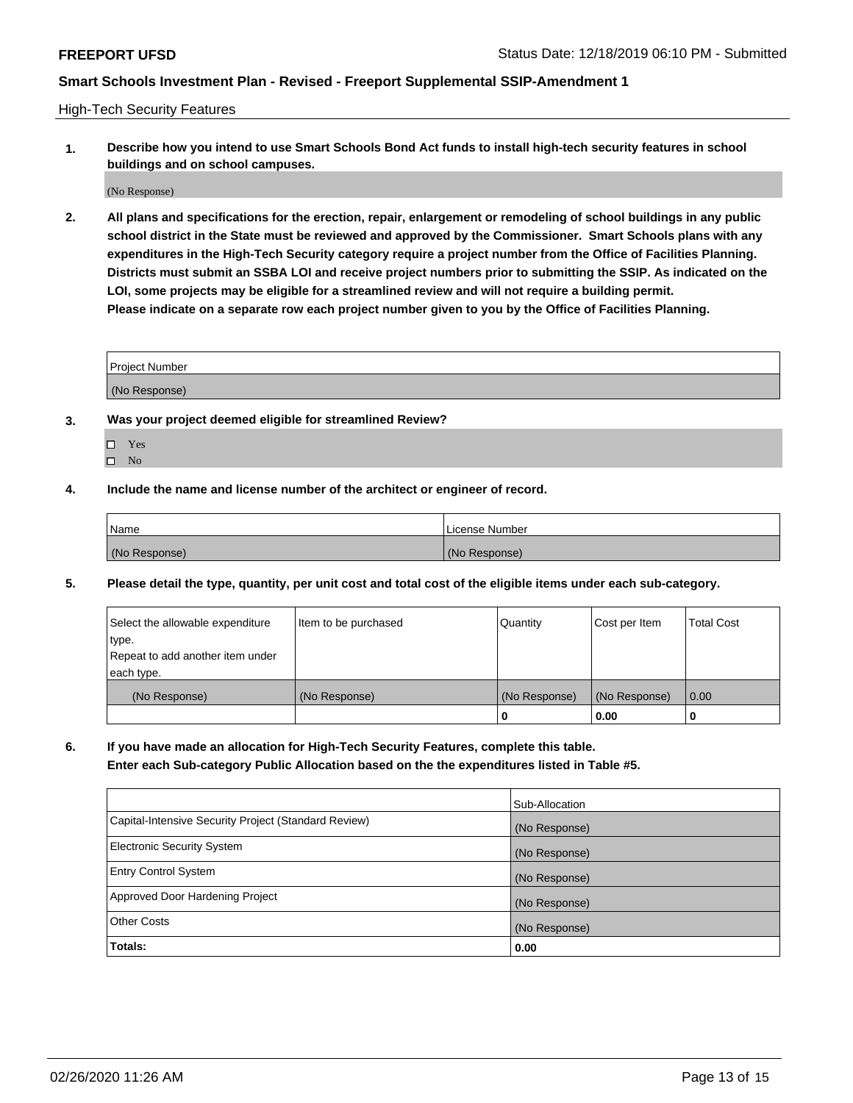High-Tech Security Features

**1. Describe how you intend to use Smart Schools Bond Act funds to install high-tech security features in school buildings and on school campuses.**

(No Response)

**2. All plans and specifications for the erection, repair, enlargement or remodeling of school buildings in any public school district in the State must be reviewed and approved by the Commissioner. Smart Schools plans with any expenditures in the High-Tech Security category require a project number from the Office of Facilities Planning. Districts must submit an SSBA LOI and receive project numbers prior to submitting the SSIP. As indicated on the LOI, some projects may be eligible for a streamlined review and will not require a building permit. Please indicate on a separate row each project number given to you by the Office of Facilities Planning.**

| <b>Project Number</b> |  |
|-----------------------|--|
| (No Response)         |  |

- **3. Was your project deemed eligible for streamlined Review?**
	- Yes
	- $\hfill \square$  No
- **4. Include the name and license number of the architect or engineer of record.**

| <b>Name</b>   | License Number |
|---------------|----------------|
| (No Response) | (No Response)  |

**5. Please detail the type, quantity, per unit cost and total cost of the eligible items under each sub-category.**

| Select the allowable expenditure | Item to be purchased | Quantity      | Cost per Item | <b>Total Cost</b> |
|----------------------------------|----------------------|---------------|---------------|-------------------|
| type.                            |                      |               |               |                   |
| Repeat to add another item under |                      |               |               |                   |
| each type.                       |                      |               |               |                   |
| (No Response)                    | (No Response)        | (No Response) | (No Response) | 0.00              |
|                                  |                      | 0             | 0.00          |                   |

**6. If you have made an allocation for High-Tech Security Features, complete this table.**

**Enter each Sub-category Public Allocation based on the the expenditures listed in Table #5.**

|                                                      | Sub-Allocation |
|------------------------------------------------------|----------------|
| Capital-Intensive Security Project (Standard Review) | (No Response)  |
| <b>Electronic Security System</b>                    | (No Response)  |
| <b>Entry Control System</b>                          | (No Response)  |
| Approved Door Hardening Project                      | (No Response)  |
| <b>Other Costs</b>                                   | (No Response)  |
| Totals:                                              | 0.00           |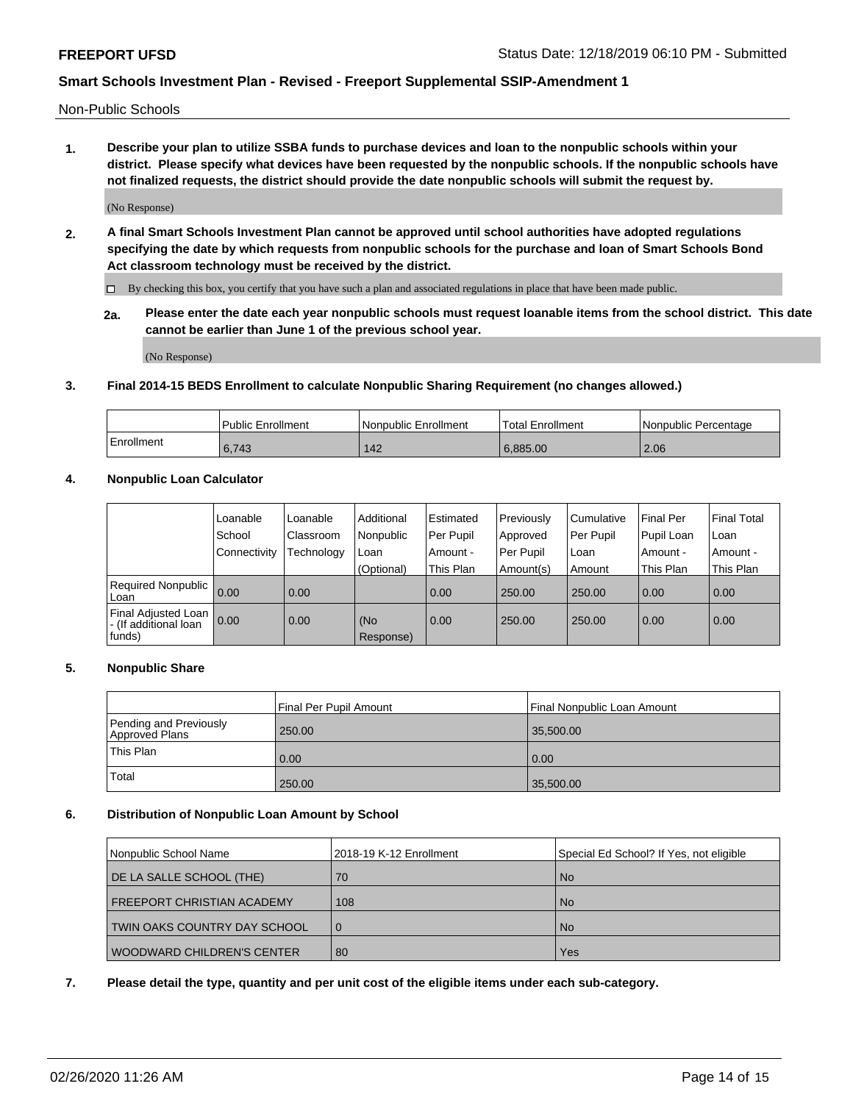Non-Public Schools

**1. Describe your plan to utilize SSBA funds to purchase devices and loan to the nonpublic schools within your district. Please specify what devices have been requested by the nonpublic schools. If the nonpublic schools have not finalized requests, the district should provide the date nonpublic schools will submit the request by.**

(No Response)

**2. A final Smart Schools Investment Plan cannot be approved until school authorities have adopted regulations specifying the date by which requests from nonpublic schools for the purchase and loan of Smart Schools Bond Act classroom technology must be received by the district.**

By checking this box, you certify that you have such a plan and associated regulations in place that have been made public.

**2a. Please enter the date each year nonpublic schools must request loanable items from the school district. This date cannot be earlier than June 1 of the previous school year.**

(No Response)

### **3. Final 2014-15 BEDS Enrollment to calculate Nonpublic Sharing Requirement (no changes allowed.)**

|            | Public Enrollment | Nonpublic Enrollment | 'Total Enrollment | l Nonpublic Percentage |
|------------|-------------------|----------------------|-------------------|------------------------|
| Enrollment | 6,743             | 142                  | 6.885.00          | 2.06                   |

### **4. Nonpublic Loan Calculator**

|                                                        | Loanable     | Loanable   | Additional       | Estimated   | Previously | Cumulative | Final Per  | <b>Final Total</b> |
|--------------------------------------------------------|--------------|------------|------------------|-------------|------------|------------|------------|--------------------|
|                                                        | School       | Classroom  | Nonpublic        | l Per Pupil | Approved   | Per Pupil  | Pupil Loan | Loan               |
|                                                        | Connectivity | Technology | Loan             | Amount -    | Per Pupil  | Loan       | Amount -   | Amount -           |
|                                                        |              |            | (Optional)       | This Plan   | Amount(s)  | Amount     | This Plan  | This Plan          |
| Required Nonpublic<br>Loan                             | 0.00         | 0.00       |                  | 0.00        | 250.00     | 250.00     | 0.00       | 0.00               |
| Final Adjusted Loan<br>- (If additional loan<br>funds) | 0.00         | 0.00       | (No<br>Response) | 0.00        | 250.00     | 250.00     | 0.00       | 0.00               |

### **5. Nonpublic Share**

|           | Final Per Pupil Amount                   |        | Final Nonpublic Loan Amount |  |
|-----------|------------------------------------------|--------|-----------------------------|--|
|           | Pending and Previously<br>Approved Plans | 250.00 | 35,500.00                   |  |
| This Plan |                                          | 0.00   | 0.00                        |  |
|           | Total                                    | 250.00 | 35,500.00                   |  |

### **6. Distribution of Nonpublic Loan Amount by School**

| Nonpublic School Name             | 2018-19 K-12 Enrollment | Special Ed School? If Yes, not eligible |
|-----------------------------------|-------------------------|-----------------------------------------|
| DE LA SALLE SCHOOL (THE)          | 70                      | <b>No</b>                               |
| <b>FREEPORT CHRISTIAN ACADEMY</b> | 108                     | . No                                    |
| TWIN OAKS COUNTRY DAY SCHOOL      | l 0                     | <b>No</b>                               |
| <b>WOODWARD CHILDREN'S CENTER</b> | 80                      | Yes                                     |

### **7. Please detail the type, quantity and per unit cost of the eligible items under each sub-category.**